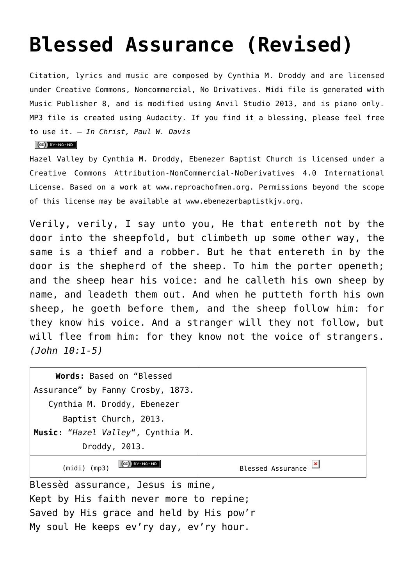## **[Blessed Assurance \(Revised\)](http://reproachofmen.org/hymns-and-music/blessed-assurance/)**

Citation, lyrics and music are composed by Cynthia M. Droddy and are licensed under Creative Commons, Noncommercial, No Drivatives. Midi file is generated with [Music Publisher 8](http://www.braeburn.co.uk/mp.htm), and is modified using [Anvil Studio 2013,](http://www.anvilstudio.com/) and is piano only. MP3 file is created using Audacity. If you find it a blessing, please feel free to use it. — *In Christ, Paul W. Davis*

## $(Cc)$  BY-NC-ND

Hazel Valley by [Cynthia M. Droddy, Ebenezer Baptist Church](http://reproachofmen.org/www.ebenezerbaptistkjv.org) is licensed under a [Creative Commons Attribution-NonCommercial-NoDerivatives 4.0 International](http://creativecommons.org/licenses/by-nc-nd/4.0/) [License](http://creativecommons.org/licenses/by-nc-nd/4.0/). Based on a work at [www.reproachofmen.org.](http://reproachofmen.org/www.reproachofmen.org) Permissions beyond the scope of this license may be available at [www.ebenezerbaptistkjv.org.](http://reproachofmen.org/www.ebenezerbaptistkjv.org)

Verily, verily, I say unto you, He that entereth not by the door into the sheepfold, but climbeth up some other way, the same is a thief and a robber. But he that entereth in by the door is the shepherd of the sheep. To him the porter openeth; and the sheep hear his voice: and he calleth his own sheep by name, and leadeth them out. And when he putteth forth his own sheep, he goeth before them, and the sheep follow him: for they know his voice. And a stranger will they not follow, but will flee from him: for they know not the voice of strangers. *(John 10:1-5)*

| Words: Based on "Blessed          |                                          |
|-----------------------------------|------------------------------------------|
| Assurance" by Fanny Crosby, 1873. |                                          |
| Cynthia M. Droddy, Ebenezer       |                                          |
| Baptist Church, 2013.             |                                          |
| Music: "Hazel Valley", Cynthia M. |                                          |
| Droddy, 2013.                     |                                          |
| CG BY-NC-ND<br>(midi) (mp3)       | $\mathbf{x}$<br><b>Blessed Assurance</b> |

Blessèd assurance, Jesus is mine, Kept by His faith never more to repine; Saved by His grace and held by His pow'r My soul He keeps ev'ry day, ev'ry hour.